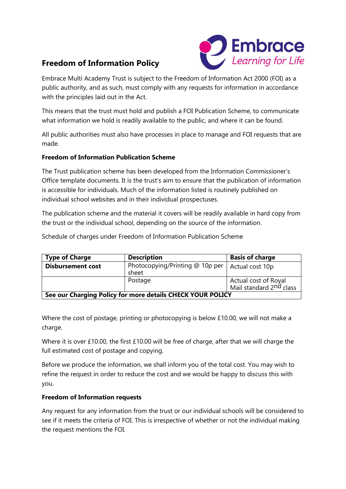# **Freedom of Information Policy**



Embrace Multi Academy Trust is subject to the Freedom of Information Act 2000 (FOI) as a public authority, and as such, must comply with any requests for information in accordance with the principles laid out in the Act.

This means that the trust must hold and publish a FOI Publication Scheme, to communicate what information we hold is readily available to the public, and where it can be found.

All public authorities must also have processes in place to manage and FOI requests that are made.

## **Freedom of Information Publication Scheme**

The Trust publication scheme has been developed from the Information Commissioner's Office template documents. It is the trust's aim to ensure that the publication of information is accessible for individuals. Much of the information listed is routinely published on individual school websites and in their individual prospectuses.

The publication scheme and the material it covers will be readily available in hard copy from the trust or the individual school, depending on the source of the information.

Schedule of charges under Freedom of Information Publication Scheme

| <b>Type of Charge</b>                                      | <b>Description</b>                       | <b>Basis of charge</b>                                      |
|------------------------------------------------------------|------------------------------------------|-------------------------------------------------------------|
| <b>Disbursement cost</b>                                   | Photocopying/Printing @ 10p per<br>sheet | Actual cost 10p                                             |
|                                                            | Postage                                  | Actual cost of Royal<br>Mail standard 2 <sup>nd</sup> class |
| See our Charging Policy for more details CHECK YOUR POLICY |                                          |                                                             |

Where the cost of postage, printing or photocopying is below £10.00, we will not make a charge.

Where it is over £10.00, the first £10.00 will be free of charge, after that we will charge the full estimated cost of postage and copying.

Before we produce the information, we shall inform you of the total cost. You may wish to refine the request in order to reduce the cost and we would be happy to discuss this with you.

#### **Freedom of Information requests**

Any request for any information from the trust or our individual schools will be considered to see if it meets the criteria of FOI. This is irrespective of whether or not the individual making the request mentions the FOI.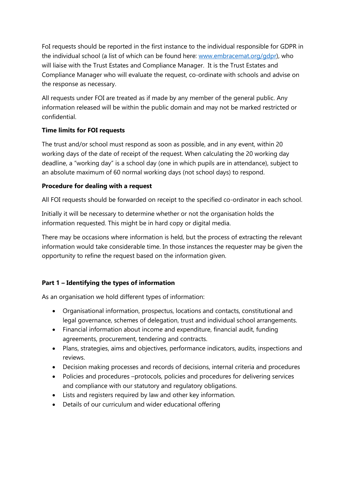FoI requests should be reported in the first instance to the individual responsible for GDPR in the individual school (a list of which can be found here: [www.embracemat.org/gdpr\)](http://www.embracemat.org/gdpr), who will liaise with the Trust Estates and Compliance Manager. It is the Trust Estates and Compliance Manager who will evaluate the request, co-ordinate with schools and advise on the response as necessary.

All requests under FOI are treated as if made by any member of the general public. Any information released will be within the public domain and may not be marked restricted or confidential.

## **Time limits for FOI requests**

The trust and/or school must respond as soon as possible, and in any event, within 20 working days of the date of receipt of the request. When calculating the 20 working day deadline, a "working day" is a school day (one in which pupils are in attendance), subject to an absolute maximum of 60 normal working days (not school days) to respond.

### **Procedure for dealing with a request**

All FOI requests should be forwarded on receipt to the specified co-ordinator in each school.

Initially it will be necessary to determine whether or not the organisation holds the information requested. This might be in hard copy or digital media.

There may be occasions where information is held, but the process of extracting the relevant information would take considerable time. In those instances the requester may be given the opportunity to refine the request based on the information given.

## **Part 1 – Identifying the types of information**

As an organisation we hold different types of information:

- Organisational information, prospectus, locations and contacts, constitutional and legal governance, schemes of delegation, trust and individual school arrangements.
- Financial information about income and expenditure, financial audit, funding agreements, procurement, tendering and contracts.
- Plans, strategies, aims and objectives, performance indicators, audits, inspections and reviews.
- Decision making processes and records of decisions, internal criteria and procedures
- Policies and procedures –protocols, policies and procedures for delivering services and compliance with our statutory and regulatory obligations.
- Lists and registers required by law and other key information.
- Details of our curriculum and wider educational offering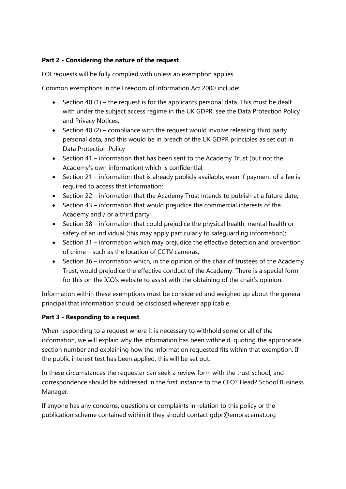## **Part 2 - Considering the nature of the request**

FOI requests will be fully complied with unless an exemption applies.

Common exemptions in the Freedom of Information Act 2000 include:

- Section 40 (1) the request is for the applicants personal data. This must be dealt with under the subject access regime in the UK GDPR, see the Data Protection Policy and Privacy Notices;
- Section 40 (2) compliance with the request would involve releasing third party personal data, and this would be in breach of the UK GDPR principles as set out in Data Protection Policy
- Section 41 information that has been sent to the Academy Trust (but not the Academy's own information) which is confidential;
- Section 21 information that is already publicly available, even if payment of a fee is required to access that information;
- Section 22 information that the Academy Trust intends to publish at a future date;
- Section 43 information that would prejudice the commercial interests of the Academy and / or a third party;
- Section 38 information that could prejudice the physical health, mental health or safety of an individual (this may apply particularly to safeguarding information);
- Section 31 information which may prejudice the effective detection and prevention of crime – such as the location of CCTV cameras;
- Section 36 information which, in the opinion of the chair of trustees of the Academy Trust, would prejudice the effective conduct of the Academy. There is a special form for this on the ICO's website to assist with the obtaining of the chair's opinion.

Information within these exemptions must be considered and weighed up about the general principal that information should be disclosed wherever applicable.

## **Part 3 - Responding to a request**

When responding to a request where it is necessary to withhold some or all of the information, we will explain why the information has been withheld, quoting the appropriate section number and explaining how the information requested fits within that exemption. If the public interest test has been applied, this will be set out.

In these circumstances the requester can seek a review form with the trust school, and correspondence should be addressed in the first instance to the CEO? Head? School Business Manager.

If anyone has any concerns, questions or complaints in relation to this policy or the publication scheme contained within it they should contact gdpr@embracemat.org